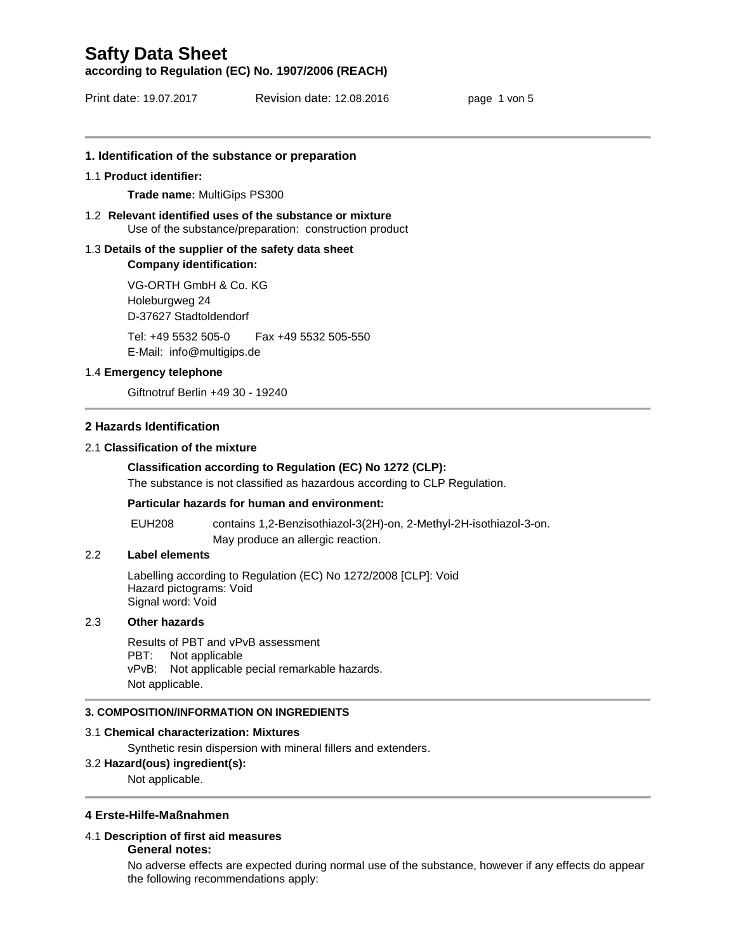**according to Regulation (EC) No. 1907/2006 (REACH)**

Print date: 19.07.2017 Revision date: 12.08.2016 page 1 von 5

### **1. Identification of the substance or preparation**

### 1.1 **Product identifier:**

**Trade name:** MultiGips PS300

### 1.2 **Relevant identified uses of the substance or mixture** Use of the substance/preparation: construction product

### 1.3 **Details of the supplier of the safety data sheet**

### **Company identification:**

VG-ORTH GmbH & Co. KG Holeburgweg 24 D-37627 Stadtoldendorf

Tel: +49 5532 505-0 Fax +49 5532 505-550

E-Mail: info@multigips.de

### 1.4 **Emergency telephone**

Giftnotruf Berlin +49 30 - 19240

### **2 Hazards Identification**

### 2.1 **Classification of the mixture**

### **Classification according to Regulation (EC) No 1272 (CLP):**

The substance is not classified as hazardous according to CLP Regulation.

### **Particular hazards for human and environment:**

EUH208 contains 1,2-Benzisothiazol-3(2H)-on, 2-Methyl-2H-isothiazol-3-on. May produce an allergic reaction.

### 2.2 **Label elements**

Labelling according to Regulation (EC) No 1272/2008 [CLP]: Void Hazard pictograms: Void Signal word: Void

### 2.3 **Other hazards**

Results of PBT and vPvB assessment PBT: Not applicable vPvB: Not applicable pecial remarkable hazards. Not applicable.

### **3. COMPOSITION/INFORMATION ON INGREDIENTS**

### 3.1 **Chemical characterization: Mixtures**

Synthetic resin dispersion with mineral fillers and extenders.

### 3.2 **Hazard(ous) ingredient(s):**

Not applicable.

### **4 Erste-Hilfe-Maßnahmen**

### 4.1 **Description of first aid measures**

### **General notes:**

No adverse effects are expected during normal use of the substance, however if any effects do appear the following recommendations apply: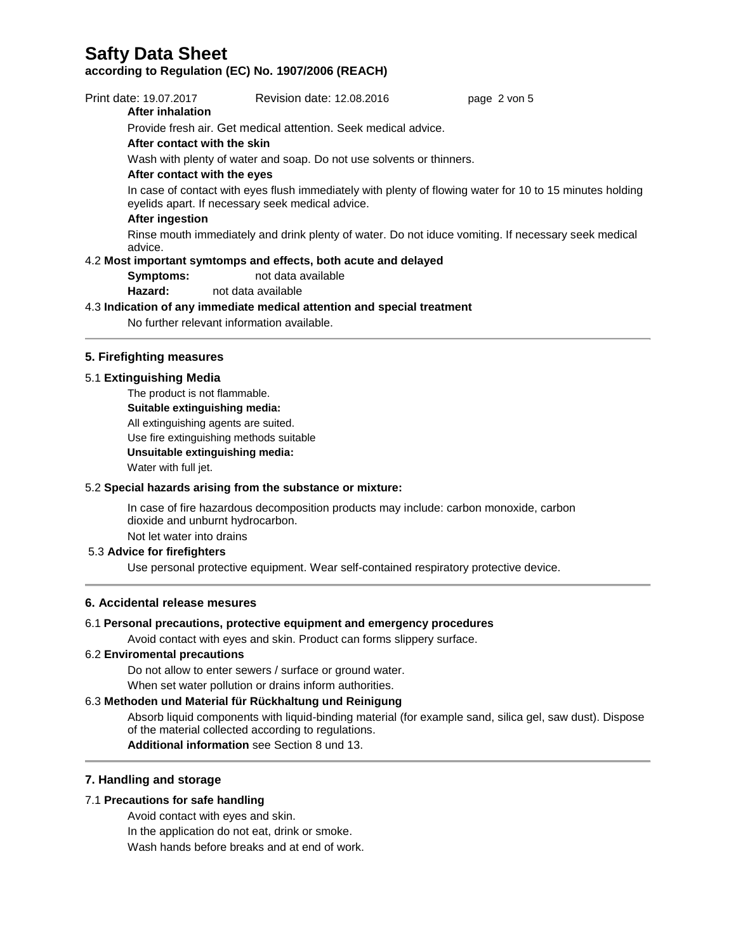### **according to Regulation (EC) No. 1907/2006 (REACH)**

| Print date: 19.07.2017<br>After inhalation | Revision date: 12.08.2016                                               | page 2 von 5                                                                                             |
|--------------------------------------------|-------------------------------------------------------------------------|----------------------------------------------------------------------------------------------------------|
|                                            | Provide fresh air. Get medical attention. Seek medical advice.          |                                                                                                          |
| After contact with the skin                |                                                                         |                                                                                                          |
|                                            | Wash with plenty of water and soap. Do not use solvents or thinners.    |                                                                                                          |
| After contact with the eyes                |                                                                         |                                                                                                          |
|                                            | eyelids apart. If necessary seek medical advice.                        | In case of contact with eyes flush immediately with plenty of flowing water for 10 to 15 minutes holding |
| <b>After ingestion</b>                     |                                                                         |                                                                                                          |
| advice.                                    |                                                                         | Rinse mouth immediately and drink plenty of water. Do not iduce vomiting. If necessary seek medical      |
|                                            | 4.2 Most important symtomps and effects, both acute and delayed         |                                                                                                          |
| Symptoms:                                  | not data available                                                      |                                                                                                          |
| Hazard:                                    | not data available                                                      |                                                                                                          |
|                                            | 4.3 Indication of any immediate medical attention and special treatment |                                                                                                          |

No further relevant information available.

### **5. Firefighting measures**

### 5.1 **Extinguishing Media**

The product is not flammable. **Suitable extinguishing media:**  All extinguishing agents are suited. Use fire extinguishing methods suitable **Unsuitable extinguishing media:** Water with full jet.

### 5.2 **Special hazards arising from the substance or mixture:**

In case of fire hazardous decomposition products may include: carbon monoxide, carbon dioxide and unburnt hydrocarbon.

Not let water into drains

### 5.3 **Advice for firefighters**

Use personal protective equipment. Wear self-contained respiratory protective device.

### **6. Accidental release mesures**

### 6.1 **Personal precautions, protective equipment and emergency procedures**

Avoid contact with eyes and skin. Product can forms slippery surface.

### 6.2 **Enviromental precautions**

Do not allow to enter sewers / surface or ground water.

When set water pollution or drains inform authorities.

### 6.3 **Methoden und Material für Rückhaltung und Reinigung**

Absorb liquid components with liquid-binding material (for example sand, silica gel, saw dust). Dispose of the material collected according to regulations.

**Additional information** see Section 8 und 13.

### **7. Handling and storage**

### 7.1 **Precautions for safe handling**

Avoid contact with eyes and skin.

In the application do not eat, drink or smoke.

Wash hands before breaks and at end of work.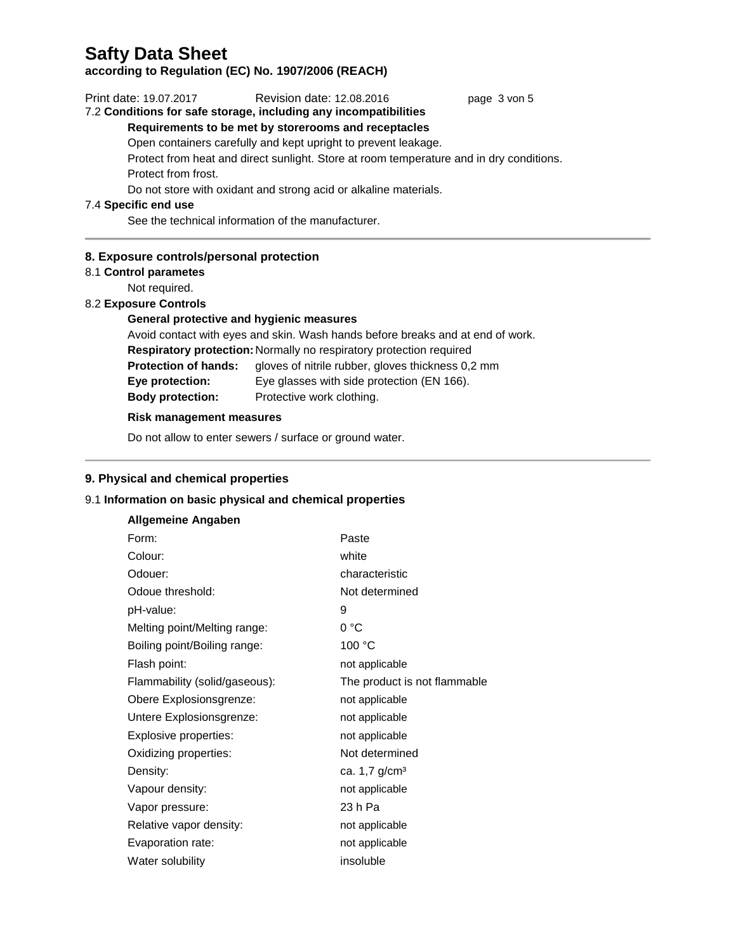**according to Regulation (EC) No. 1907/2006 (REACH)**

| Print date: 19.07.2017<br>Protect from frost.<br>7.4 Specific end use                                                                                                                                                                | Revision date: 12.08.2016<br>7.2 Conditions for safe storage, including any incompatibilities<br>Requirements to be met by storerooms and receptacles<br>Open containers carefully and kept upright to prevent leakage.<br>Protect from heat and direct sunlight. Store at room temperature and in dry conditions.<br>Do not store with oxidant and strong acid or alkaline materials. | page 3 von 5 |  |  |  |
|--------------------------------------------------------------------------------------------------------------------------------------------------------------------------------------------------------------------------------------|----------------------------------------------------------------------------------------------------------------------------------------------------------------------------------------------------------------------------------------------------------------------------------------------------------------------------------------------------------------------------------------|--------------|--|--|--|
| See the technical information of the manufacturer.                                                                                                                                                                                   |                                                                                                                                                                                                                                                                                                                                                                                        |              |  |  |  |
| 8. Exposure controls/personal protection<br>8.1 Control parametes<br>Not required.<br>8.2 Exposure Controls<br>General protective and hygienic measures<br><b>Protection of hands:</b><br>Eye protection:<br><b>Body protection:</b> | Avoid contact with eyes and skin. Wash hands before breaks and at end of work.<br>Respiratory protection: Normally no respiratory protection required<br>gloves of nitrile rubber, gloves thickness 0,2 mm<br>Eye glasses with side protection (EN 166).<br>Protective work clothing.                                                                                                  |              |  |  |  |
| <b>Risk management measures</b>                                                                                                                                                                                                      |                                                                                                                                                                                                                                                                                                                                                                                        |              |  |  |  |
|                                                                                                                                                                                                                                      | Do not allow to enter sewers / surface or ground water.                                                                                                                                                                                                                                                                                                                                |              |  |  |  |

## **9. Physical and chemical properties**

## 9.1 **Information on basic physical and chemical properties**

| <b>Allgemeine Angaben</b>     |                              |
|-------------------------------|------------------------------|
| Form:                         | Paste                        |
| Colour:                       | white                        |
| Odouer:                       | characteristic               |
| Odoue threshold:              | Not determined               |
| pH-value:                     | 9                            |
| Melting point/Melting range:  | 0 °C                         |
| Boiling point/Boiling range:  | 100 °C                       |
| Flash point:                  | not applicable               |
| Flammability (solid/gaseous): | The product is not flammable |
| Obere Explosionsgrenze:       | not applicable               |
| Untere Explosionsgrenze:      | not applicable               |
| Explosive properties:         | not applicable               |
| Oxidizing properties:         | Not determined               |
| Density:                      | ca. $1,7$ g/cm <sup>3</sup>  |
| Vapour density:               | not applicable               |
| Vapor pressure:               | 23 h Pa                      |
| Relative vapor density:       | not applicable               |
| Evaporation rate:             | not applicable               |
| Water solubility              | insoluble                    |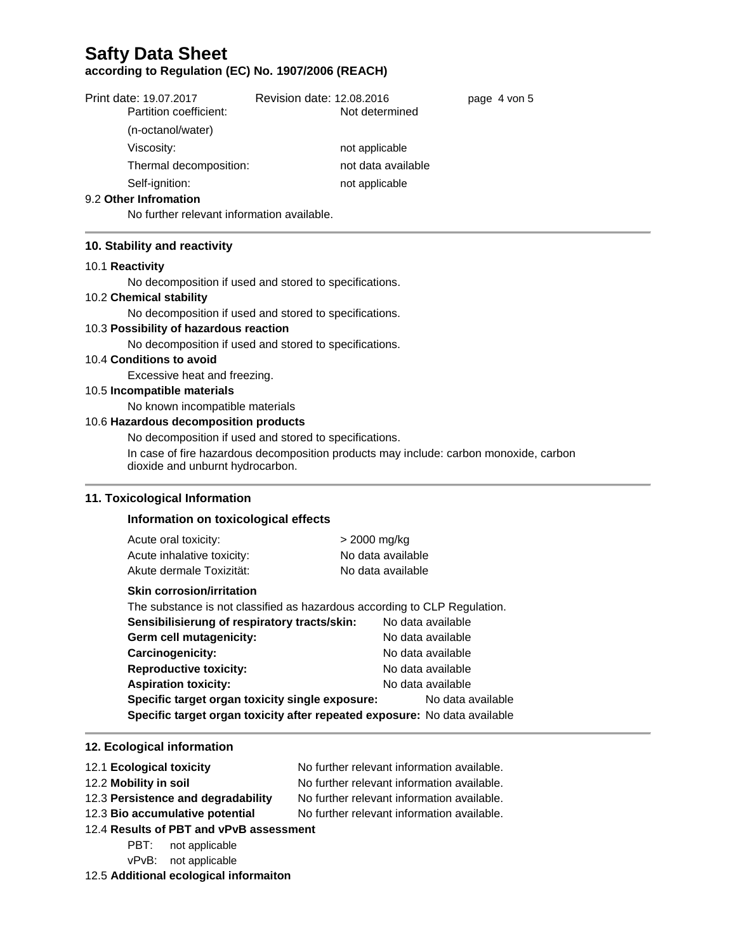### **according to Regulation (EC) No. 1907/2006 (REACH)**

| Print date: 19.07.2017 | Revision date: 12.08.2016 | page 4 von 5 |
|------------------------|---------------------------|--------------|
| Partition coefficient: | Not determined            |              |
| (n-octanol/water)      |                           |              |
| Viscosity:             | not applicable            |              |
| Thermal decomposition: | not data available        |              |
| Self-ignition:         | not applicable            |              |
| 9.2 Other Infromation  |                           |              |

No further relevant information available.

### **10. Stability and reactivity**

### 10.1 **Reactivity**

No decomposition if used and stored to specifications.

### 10.2 **Chemical stability**

No decomposition if used and stored to specifications.

### 10.3 **Possibility of hazardous reaction**

No decomposition if used and stored to specifications.

### 10.4 **Conditions to avoid**

Excessive heat and freezing.

### 10.5 **Incompatible materials**

No known incompatible materials

### 10.6 **Hazardous decomposition products**

No decomposition if used and stored to specifications.

In case of fire hazardous decomposition products may include: carbon monoxide, carbon dioxide and unburnt hydrocarbon.

### **11. Toxicological Information**

### **Information on toxicological effects**

| Acute oral toxicity:       |  |
|----------------------------|--|
| Acute inhalative toxicity: |  |
| Akute dermale Toxizität:   |  |

 $> 2000$  mg/kg No data available No data available

### **Skin corrosion/irritation**

| The substance is not classified as hazardous according to CLP Regulation. |  |                   |  |  |
|---------------------------------------------------------------------------|--|-------------------|--|--|
| Sensibilisierung of respiratory tracts/skin:                              |  | No data available |  |  |
| Germ cell mutagenicity:                                                   |  | No data available |  |  |
| <b>Carcinogenicity:</b>                                                   |  | No data available |  |  |
| <b>Reproductive toxicity:</b>                                             |  | No data available |  |  |
| <b>Aspiration toxicity:</b>                                               |  | No data available |  |  |
| Specific target organ toxicity single exposure:                           |  | No data available |  |  |
| Specific target organ toxicity after repeated exposure: No data available |  |                   |  |  |

### **12. Ecological information**

- 12.1 **Ecological toxicity** No further relevant information available.
- 

12.2 **Mobility in soil** No further relevant information available.

- 12.3 **Persistence and degradability** No further relevant information available.
	-
- 
- 12.3 **Bio accumulative potential** No further relevant information available. 12.4 **Results of PBT and vPvB assessment**
	- - PBT: not applicable
		- vPvB: not applicable
- 12.5 **Additional ecological informaiton**